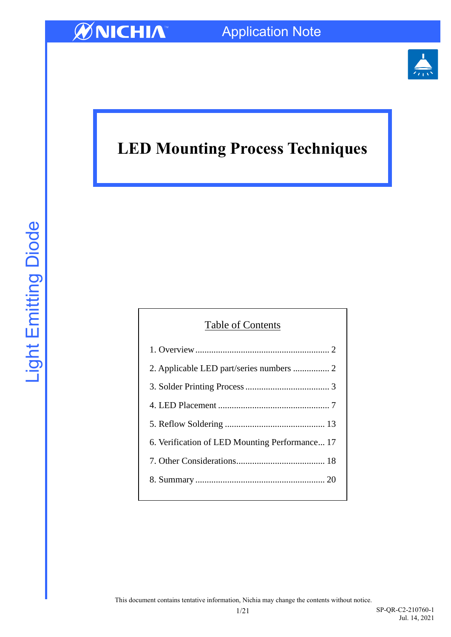

### **LED Mounting Process Techniques**

### Table of Contents

| 6. Verification of LED Mounting Performance 17 |
|------------------------------------------------|
|                                                |
|                                                |
|                                                |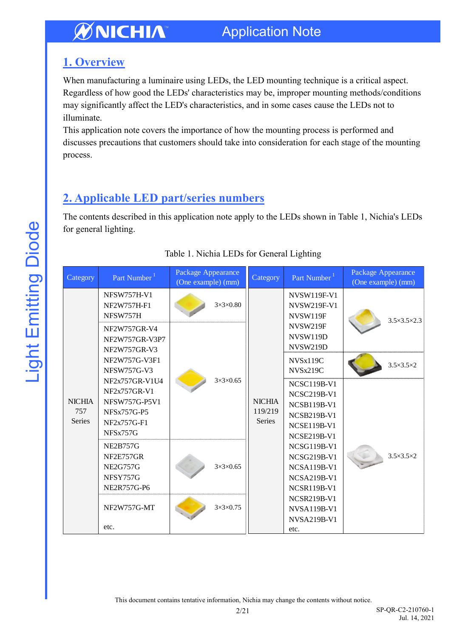### Application Note

### <span id="page-1-0"></span>**1. Overview**

When manufacturing a luminaire using LEDs, the LED mounting technique is a critical aspect. Regardless of how good the LEDs' characteristics may be, improper mounting methods/conditions may significantly affect the LED's characteristics, and in some cases cause the LEDs not to illuminate.

This application note covers the importance of how the mounting process is performed and discusses precautions that customers should take into consideration for each stage of the mounting process.

### <span id="page-1-1"></span>**2. Applicable LED part/series numbers**

The contents described in this application note apply to the LEDs shown in Table 1, Nichia's LEDs for general lighting.

| Category             | Part Number <sup>1</sup>                       | Package Appearance<br>(One example) (mm) |                      | Category                                  | Part Number <sup>1</sup>                             | Package Appearance<br>(One example) (mm) |                             |
|----------------------|------------------------------------------------|------------------------------------------|----------------------|-------------------------------------------|------------------------------------------------------|------------------------------------------|-----------------------------|
|                      | <b>NFSW757H-V1</b><br>NF2W757H-F1<br>NFSW757H  |                                          | $3\times3\times0.80$ |                                           | <b>NVSW119F-V1</b><br><b>NVSW219F-V1</b><br>NVSW119F |                                          | $3.5 \times 3.5 \times 2.3$ |
|                      | NF2W757GR-V4<br>NF2W757GR-V3P7<br>NF2W757GR-V3 |                                          | $3\times3\times0.65$ | <b>NICHIA</b><br>119/219<br><b>Series</b> | <b>NVSW219F</b><br>NVSW119D<br>NVSW219D              |                                          |                             |
|                      | NF2W757G-V3F1<br><b>NFSW757G-V3</b>            |                                          |                      |                                           | NVSx119C<br>NVSx219C                                 |                                          | $3.5 \times 3.5 \times 2$   |
|                      | NF2x757GR-V1U4<br>NF2x757GR-V1                 |                                          |                      |                                           | <b>NCSC119B-V1</b><br><b>NCSC219B-V1</b>             | $3.5 \times 3.5 \times 2$                |                             |
| <b>NICHIA</b>        | NFSW757G-P5V1                                  |                                          |                      |                                           | <b>NCSB119B-V1</b>                                   |                                          |                             |
| 757<br><b>Series</b> | <b>NFSx757G-P5</b>                             |                                          |                      |                                           | <b>NCSB219B-V1</b>                                   |                                          |                             |
|                      | NF2x757G-F1<br>NFSx757G                        |                                          |                      |                                           | <b>NCSE119B-V1</b>                                   |                                          |                             |
|                      |                                                |                                          |                      |                                           | <b>NCSE219B-V1</b>                                   |                                          |                             |
|                      | <b>NE2B757G</b><br>NF2E757GR                   |                                          | $3\times3\times0.65$ |                                           | <b>NCSG119B-V1</b>                                   |                                          |                             |
|                      | <b>NE2G757G</b>                                |                                          |                      |                                           | <b>NCSG219B-V1</b><br><b>NCSA119B-V1</b>             |                                          |                             |
|                      | NFSY757G                                       |                                          |                      |                                           | <b>NCSA219B-V1</b>                                   |                                          |                             |
|                      | NE2R757G-P6                                    |                                          |                      |                                           | <b>NCSR119B-V1</b>                                   |                                          |                             |
|                      |                                                |                                          | $3\times3\times0.75$ |                                           | <b>NCSR219B-V1</b>                                   |                                          |                             |
|                      | NF2W757G-MT                                    |                                          |                      |                                           | <b>NVSA119B-V1</b>                                   |                                          |                             |
|                      |                                                |                                          |                      |                                           | <b>NVSA219B-V1</b>                                   |                                          |                             |
|                      | etc.                                           |                                          |                      |                                           | etc.                                                 |                                          |                             |

#### Table 1. Nichia LEDs for General Lighting

This document contains tentative information, Nichia may change the contents without notice.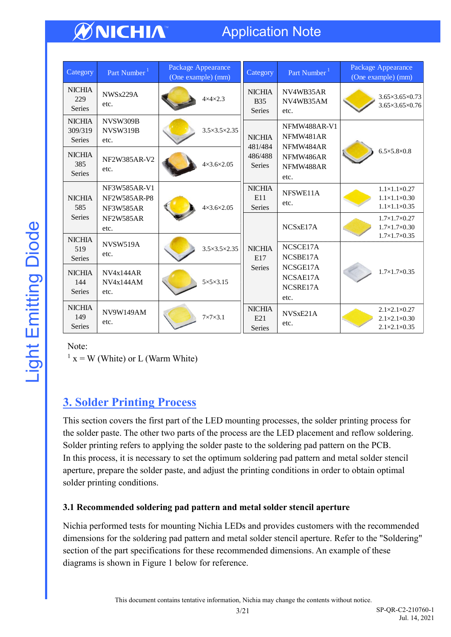### Application Note

| Category                                  | Part Number <sup>1</sup>                  | Package Appearance<br>(One example) (mm) | Category                                      | Part Number <sup>1</sup>                 | Package Appearance<br>(One example) (mm)                                                     |  |
|-------------------------------------------|-------------------------------------------|------------------------------------------|-----------------------------------------------|------------------------------------------|----------------------------------------------------------------------------------------------|--|
| <b>NICHIA</b><br>229<br><b>Series</b>     | NWSx229A<br>etc.                          | $4\times4\times2.3$                      | <b>NICHIA</b><br><b>B</b> 35<br><b>Series</b> | NV4WB35AR<br>NV4WB35AM<br>etc.           | $3.65 \times 3.65 \times 0.73$<br>3.65×3.65×0.76                                             |  |
| <b>NICHIA</b><br>309/319<br><b>Series</b> | NVSW309B<br>NVSW319B<br>etc.              | $3.5 \times 3.5 \times 2.35$             | <b>NICHIA</b><br>481/484                      | NFMW488AR-V1<br>NFMW481AR<br>NFMW484AR   |                                                                                              |  |
| <b>NICHIA</b><br>385<br><b>Series</b>     | NF2W385AR-V2<br>etc.                      | $4 \times 3.6 \times 2.05$               | 486/488<br><b>Series</b>                      | NFMW486AR<br>NFMW488AR<br>etc.           | $6.5 \times 5.8 \times 0.8$                                                                  |  |
| <b>NICHIA</b><br>585                      | NF3W585AR-V1<br>NF2W585AR-P8<br>NF3W585AR | $4 \times 3.6 \times 2.05$               | <b>NICHIA</b><br>E11<br><b>Series</b>         | NFSWE11A<br>etc.                         | $1.1\times1.1\times0.27$<br>$1.1\times1.1\times0.30$<br>$1.1\times1.1\times0.35$             |  |
| <b>Series</b>                             | <b>NF2W585AR</b><br>etc.                  |                                          |                                               | NCSxE17A                                 | $1.7\times1.7\times0.27$<br>$1.7\times1.7\times0.30$<br>$1.7\times1.7\times0.35$             |  |
| <b>NICHIA</b><br>519<br><b>Series</b>     | <b>NVSW519A</b><br>etc.                   | $3.5 \times 3.5 \times 2.35$             | <b>NICHIA</b><br>E17                          | NCSCE17A<br>NCSBE17A                     |                                                                                              |  |
| <b>NICHIA</b><br>144<br><b>Series</b>     | NVAx144AR<br>NVAx144AM<br>etc.            | $5 \times 5 \times 3.15$                 | <b>Series</b>                                 | NCSGE17A<br>NCSAE17A<br>NCSRE17A<br>etc. | $1.7\times1.7\times0.35$                                                                     |  |
| <b>NICHIA</b><br>149<br><b>Series</b>     | <b>NV9W149AM</b><br>etc.                  | $7\times7\times3.1$                      | <b>NICHIA</b><br>E21<br><b>Series</b>         | NVSxE21A<br>etc.                         | $2.1 \times 2.1 \times 0.27$<br>$2.1 \times 2.1 \times 0.30$<br>$2.1 \times 2.1 \times 0.35$ |  |

Note:

 $1 x = W$  (White) or L (Warm White)

### <span id="page-2-0"></span>**3. Solder Printing Process**

This section covers the first part of the LED mounting processes, the solder printing process for the solder paste. The other two parts of the process are the LED placement and reflow soldering. Solder printing refers to applying the solder paste to the soldering pad pattern on the PCB. In this process, it is necessary to set the optimum soldering pad pattern and metal solder stencil aperture, prepare the solder paste, and adjust the printing conditions in order to obtain optimal solder printing conditions.

#### **3.1 Recommended soldering pad pattern and metal solder stencil aperture**

Nichia performed tests for mounting Nichia LEDs and provides customers with the recommended dimensions for the soldering pad pattern and metal solder stencil aperture. Refer to the "Soldering" section of the part specifications for these recommended dimensions. An example of these diagrams is shown in Figure 1 below for reference.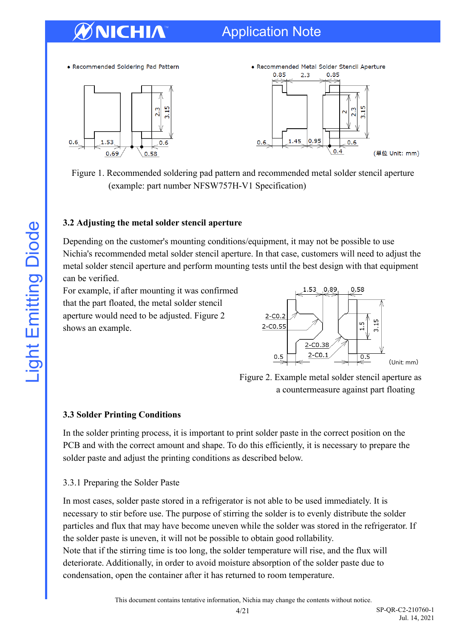### Application Note

• Recommended Soldering Pad Pattern





Figure 1. Recommended soldering pad pattern and recommended metal solder stencil aperture (example: part number NFSW757H-V1 Specification)

#### **3.2 Adjusting the metal solder stencil aperture**

Depending on the customer's mounting conditions/equipment, it may not be possible to use Nichia's recommended metal solder stencil aperture. In that case, customers will need to adjust the metal solder stencil aperture and perform mounting tests until the best design with that equipment can be verified.

For example, if after mounting it was confirmed that the part floated, the metal solder stencil aperture would need to be adjusted. Figure 2 shows an example.



 Figure 2. Example metal solder stencil aperture as a countermeasure against part floating

#### **3.3 Solder Printing Conditions**

In the solder printing process, it is important to print solder paste in the correct position on the PCB and with the correct amount and shape. To do this efficiently, it is necessary to prepare the solder paste and adjust the printing conditions as described below.

#### 3.3.1 Preparing the Solder Paste

In most cases, solder paste stored in a refrigerator is not able to be used immediately. It is necessary to stir before use. The purpose of stirring the solder is to evenly distribute the solder particles and flux that may have become uneven while the solder was stored in the refrigerator. If the solder paste is uneven, it will not be possible to obtain good rollability.

Note that if the stirring time is too long, the solder temperature will rise, and the flux will deteriorate. Additionally, in order to avoid moisture absorption of the solder paste due to condensation, open the container after it has returned to room temperature.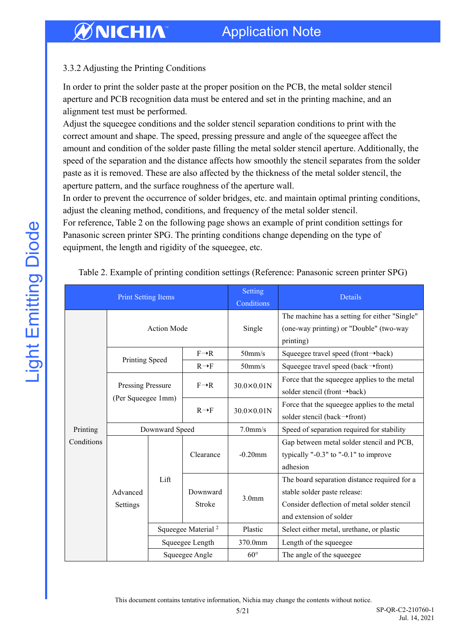#### 3.3.2 Adjusting the Printing Conditions

In order to print the solder paste at the proper position on the PCB, the metal solder stencil aperture and PCB recognition data must be entered and set in the printing machine, and an alignment test must be performed.

Adjust the squeegee conditions and the solder stencil separation conditions to print with the correct amount and shape. The speed, pressing pressure and angle of the squeegee affect the amount and condition of the solder paste filling the metal solder stencil aperture. Additionally, the speed of the separation and the distance affects how smoothly the stencil separates from the solder paste as it is removed. These are also affected by the thickness of the metal solder stencil, the aperture pattern, and the surface roughness of the aperture wall.

In order to prevent the occurrence of solder bridges, etc. and maintain optimal printing conditions, adjust the cleaning method, conditions, and frequency of the metal solder stencil.

For reference, Table 2 on the following page shows an example of print condition settings for Panasonic screen printer SPG. The printing conditions change depending on the type of equipment, the length and rigidity of the squeegee, etc.

| <b>Print Setting Items</b> |                                                |                                |                    | Setting<br>Conditions | Details                                                                                                                                                |  |
|----------------------------|------------------------------------------------|--------------------------------|--------------------|-----------------------|--------------------------------------------------------------------------------------------------------------------------------------------------------|--|
|                            | <b>Action Mode</b>                             |                                |                    | Single                | The machine has a setting for either "Single"<br>(one-way printing) or "Double" (two-way<br>printing)                                                  |  |
|                            | Printing Speed                                 |                                | $F \rightarrow R$  | $50$ mm/s             | Squeegee travel speed (front $\rightarrow$ back)                                                                                                       |  |
|                            |                                                |                                | $R \rightarrow F$  | 50 <sub>mm/s</sub>    | Squeegee travel speed (back $\rightarrow$ front)                                                                                                       |  |
| Printing<br>Conditions     | <b>Pressing Pressure</b><br>(Per Squeegee 1mm) |                                | $F \rightarrow R$  | $30.0\times0.01N$     | Force that the squeegee applies to the metal<br>solder stencil (front→back)                                                                            |  |
|                            |                                                |                                | $R \rightarrow F$  | $30.0\times0.01N$     | Force that the squeegee applies to the metal<br>solder stencil (back→front)                                                                            |  |
|                            | Downward Speed                                 |                                |                    | $7.0$ mm/s            | Speed of separation required for stability                                                                                                             |  |
|                            | Advanced<br>Settings                           | Lift                           | Clearance          | $-0.20$ mm            | Gap between metal solder stencil and PCB,<br>typically "- $0.3$ " to "- $0.1$ " to improve<br>adhesion                                                 |  |
|                            |                                                |                                | Downward<br>Stroke | 3.0 <sub>mm</sub>     | The board separation distance required for a<br>stable solder paste release:<br>Consider deflection of metal solder stencil<br>and extension of solder |  |
|                            |                                                | Squeegee Material <sup>2</sup> |                    | Plastic               | Select either metal, urethane, or plastic                                                                                                              |  |
|                            |                                                | Squeegee Length                |                    | 370.0mm               | Length of the squeegee                                                                                                                                 |  |
|                            |                                                | Squeegee Angle                 |                    | $60^{\circ}$          | The angle of the squeegee                                                                                                                              |  |

Table 2. Example of printing condition settings (Reference: Panasonic screen printer SPG)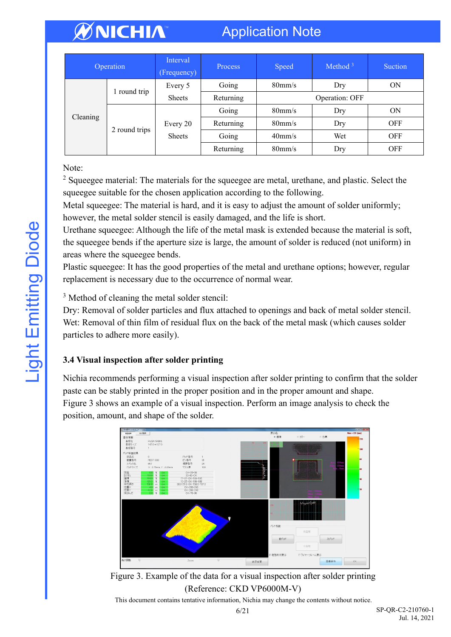### Application Note

| Operation |               | Interval<br>(Frequency) | Process   | Speed            | Method $3$ | <b>Suction</b> |  |
|-----------|---------------|-------------------------|-----------|------------------|------------|----------------|--|
|           | round trip    | Every 5                 | Going     | $80 \text{mm/s}$ | Dry        | ON             |  |
|           |               | <b>Sheets</b>           | Returning | Operation: OFF   |            |                |  |
|           |               |                         | Going     | $80 \text{mm/s}$ | Dry        | ON             |  |
| Cleaning  |               | Every 20                | Returning | $80 \text{mm/s}$ | Dry        | <b>OFF</b>     |  |
|           | 2 round trips | <b>Sheets</b>           | Going     | $40$ mm/s        | Wet        | <b>OFF</b>     |  |
|           |               |                         | Returning | $80 \text{mm/s}$ | Dry        | <b>OFF</b>     |  |

Note:

<sup>2</sup> Squeegee material: The materials for the squeegee are metal, urethane, and plastic. Select the squeegee suitable for the chosen application according to the following.

Metal squeegee: The material is hard, and it is easy to adjust the amount of solder uniformly; however, the metal solder stencil is easily damaged, and the life is short.

Urethane squeegee: Although the life of the metal mask is extended because the material is soft, the squeegee bends if the aperture size is large, the amount of solder is reduced (not uniform) in areas where the squeegee bends.

Plastic squeegee: It has the good properties of the metal and urethane options; however, regular replacement is necessary due to the occurrence of normal wear.

<sup>3</sup> Method of cleaning the metal solder stencil:

Dry: Removal of solder particles and flux attached to openings and back of metal solder stencil. Wet: Removal of thin film of residual flux on the back of the metal mask (which causes solder particles to adhere more easily).

### **3.4 Visual inspection after solder printing**

Nichia recommends performing a visual inspection after solder printing to confirm that the solder paste can be stably printed in the proper position and in the proper amount and shape. Figure 3 shows an example of a visual inspection. Perform an image analysis to check the position, amount, and shape of the solder.



Figure 3. Example of the data for a visual inspection after solder printing (Reference: CKD VP6000M-V)

This document contains tentative information, Nichia may change the contents without notice.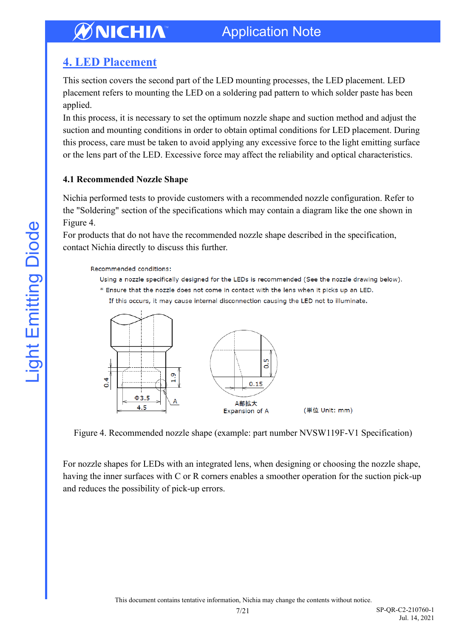### <span id="page-6-0"></span>**4. LED Placement**

This section covers the second part of the LED mounting processes, the LED placement. LED placement refers to mounting the LED on a soldering pad pattern to which solder paste has been applied.

In this process, it is necessary to set the optimum nozzle shape and suction method and adjust the suction and mounting conditions in order to obtain optimal conditions for LED placement. During this process, care must be taken to avoid applying any excessive force to the light emitting surface or the lens part of the LED. Excessive force may affect the reliability and optical characteristics.

#### **4.1 Recommended Nozzle Shape**

Nichia performed tests to provide customers with a recommended nozzle configuration. Refer to the "Soldering" section of the specifications which may contain a diagram like the one shown in Figure 4.

For products that do not have the recommended nozzle shape described in the specification, contact Nichia directly to discuss this further.

Recommended conditions:

Using a nozzle specifically designed for the LEDs is recommended (See the nozzle drawing below). \* Ensure that the nozzle does not come in contact with the lens when it picks up an LED. If this occurs, it may cause internal disconnection causing the LED not to illuminate.



Figure 4. Recommended nozzle shape (example: part number NVSW119F-V1 Specification)

For nozzle shapes for LEDs with an integrated lens, when designing or choosing the nozzle shape, having the inner surfaces with C or R corners enables a smoother operation for the suction pick-up and reduces the possibility of pick-up errors.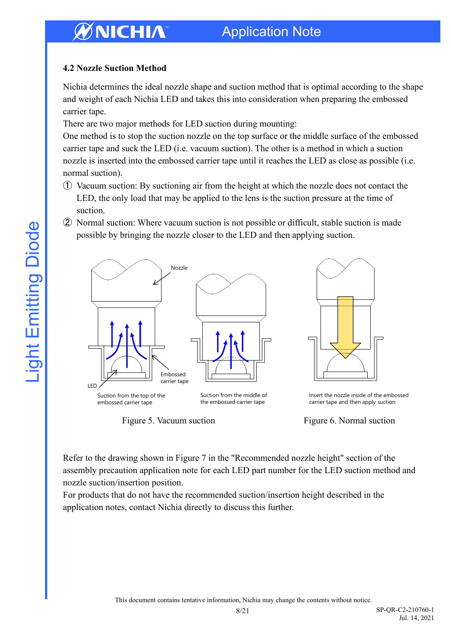#### **4.2 Nozzle Suction Method**

Nichia determines the ideal nozzle shape and suction method that is optimal according to the shape and weight of each Nichia LED and takes this into consideration when preparing the embossed carrier tape.

There are two major methods for LED suction during mounting:

One method is to stop the suction nozzle on the top surface or the middle surface of the embossed carrier tape and suck the LED (i.e. vacuum suction). The other is a method in which a suction nozzle is inserted into the embossed carrier tape until it reaches the LED as close as possible (i.e. normal suction).

- ① Vacuum suction: By suctioning air from the height at which the nozzle does not contact the LED, the only load that may be applied to the lens is the suction pressure at the time of suction.
- ② Normal suction: Where vacuum suction is not possible or difficult, stable suction is made possible by bringing the nozzle closer to the LED and then applying suction.



Figure 5. Vacuum suction Figure 6. Normal suction

Refer to the drawing shown in Figure 7 in the "Recommended nozzle height" section of the assembly precaution application note for each LED part number for the LED suction method and nozzle suction/insertion position.

For products that do not have the recommended suction/insertion height described in the application notes, contact Nichia directly to discuss this further.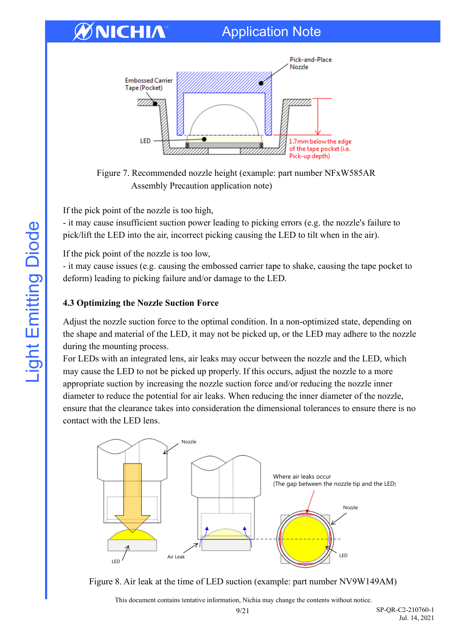### Application Note



Figure 7. Recommended nozzle height (example: part number NFxW585AR Assembly Precaution application note)

If the pick point of the nozzle is too high,

- it may cause insufficient suction power leading to picking errors (e.g. the nozzle's failure to pick/lift the LED into the air, incorrect picking causing the LED to tilt when in the air).

If the pick point of the nozzle is too low,

- it may cause issues (e.g. causing the embossed carrier tape to shake, causing the tape pocket to deform) leading to picking failure and/or damage to the LED.

#### **4.3 Optimizing the Nozzle Suction Force**

Adjust the nozzle suction force to the optimal condition. In a non-optimized state, depending on the shape and material of the LED, it may not be picked up, or the LED may adhere to the nozzle during the mounting process.

For LEDs with an integrated lens, air leaks may occur between the nozzle and the LED, which may cause the LED to not be picked up properly. If this occurs, adjust the nozzle to a more appropriate suction by increasing the nozzle suction force and/or reducing the nozzle inner diameter to reduce the potential for air leaks. When reducing the inner diameter of the nozzle, ensure that the clearance takes into consideration the dimensional tolerances to ensure there is no contact with the LED lens.



Figure 8. Air leak at the time of LED suction (example: part number NV9W149AM)

This document contains tentative information, Nichia may change the contents without notice.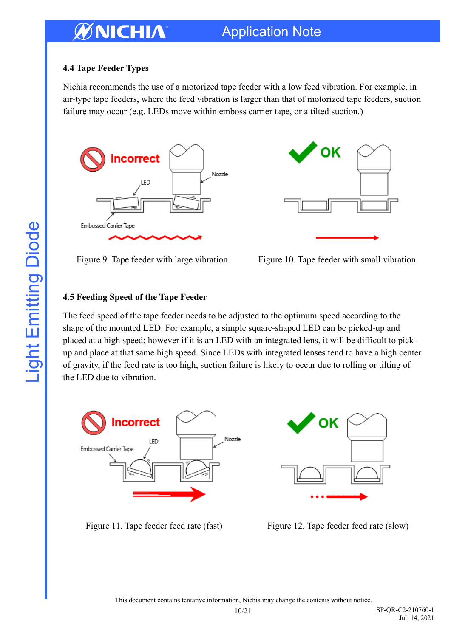#### **4.4 Tape Feeder Types**

Nichia recommends the use of a motorized tape feeder with a low feed vibration. For example, in air-type tape feeders, where the feed vibration is larger than that of motorized tape feeders, suction failure may occur (e.g. LEDs move within emboss carrier tape, or a tilted suction.)





Figure 9. Tape feeder with large vibration Figure 10. Tape feeder with small vibration

#### **4.5 Feeding Speed of the Tape Feeder**

The feed speed of the tape feeder needs to be adjusted to the optimum speed according to the shape of the mounted LED. For example, a simple square-shaped LED can be picked-up and placed at a high speed; however if it is an LED with an integrated lens, it will be difficult to pickup and place at that same high speed. Since LEDs with integrated lenses tend to have a high center of gravity, if the feed rate is too high, suction failure is likely to occur due to rolling or tilting of the LED due to vibration.



ΟK

Figure 11. Tape feeder feed rate (fast) Figure 12. Tape feeder feed rate (slow)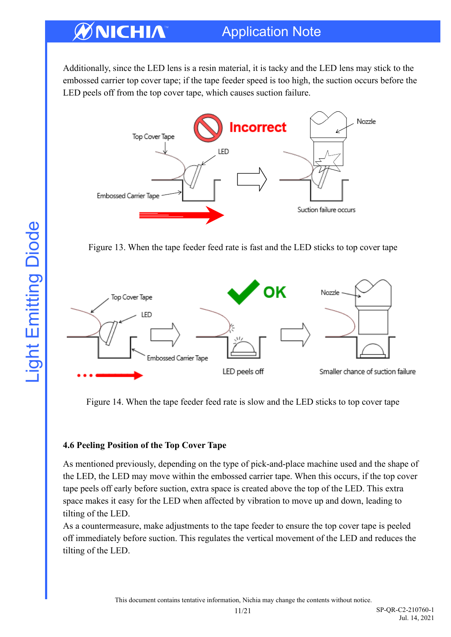### Application Note

Additionally, since the LED lens is a resin material, it is tacky and the LED lens may stick to the embossed carrier top cover tape; if the tape feeder speed is too high, the suction occurs before the LED peels off from the top cover tape, which causes suction failure.



Figure 13. When the tape feeder feed rate is fast and the LED sticks to top cover tape



Figure 14. When the tape feeder feed rate is slow and the LED sticks to top cover tape

#### **4.6 Peeling Position of the Top Cover Tape**

As mentioned previously, depending on the type of pick-and-place machine used and the shape of the LED, the LED may move within the embossed carrier tape. When this occurs, if the top cover tape peels off early before suction, extra space is created above the top of the LED. This extra space makes it easy for the LED when affected by vibration to move up and down, leading to tilting of the LED.

As a countermeasure, make adjustments to the tape feeder to ensure the top cover tape is peeled off immediately before suction. This regulates the vertical movement of the LED and reduces the tilting of the LED.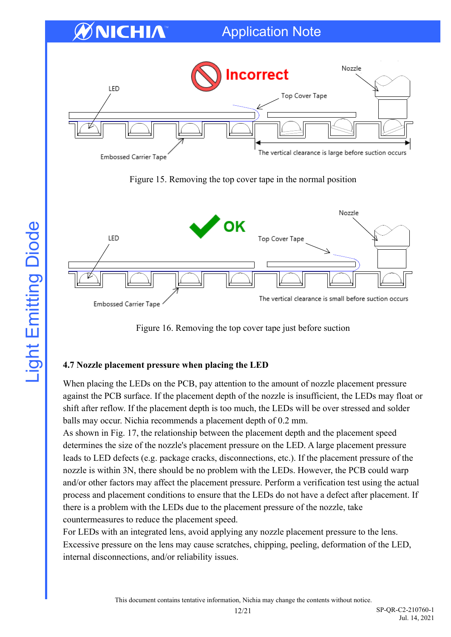

Figure 15. Removing the top cover tape in the normal position



Figure 16. Removing the top cover tape just before suction

#### **4.7 Nozzle placement pressure when placing the LED**

When placing the LEDs on the PCB, pay attention to the amount of nozzle placement pressure against the PCB surface. If the placement depth of the nozzle is insufficient, the LEDs may float or shift after reflow. If the placement depth is too much, the LEDs will be over stressed and solder balls may occur. Nichia recommends a placement depth of 0.2 mm.

As shown in Fig. 17, the relationship between the placement depth and the placement speed determines the size of the nozzle's placement pressure on the LED. A large placement pressure leads to LED defects (e.g. package cracks, disconnections, etc.). If the placement pressure of the nozzle is within 3N, there should be no problem with the LEDs. However, the PCB could warp and/or other factors may affect the placement pressure. Perform a verification test using the actual process and placement conditions to ensure that the LEDs do not have a defect after placement. If there is a problem with the LEDs due to the placement pressure of the nozzle, take countermeasures to reduce the placement speed.

For LEDs with an integrated lens, avoid applying any nozzle placement pressure to the lens. Excessive pressure on the lens may cause scratches, chipping, peeling, deformation of the LED, internal disconnections, and/or reliability issues.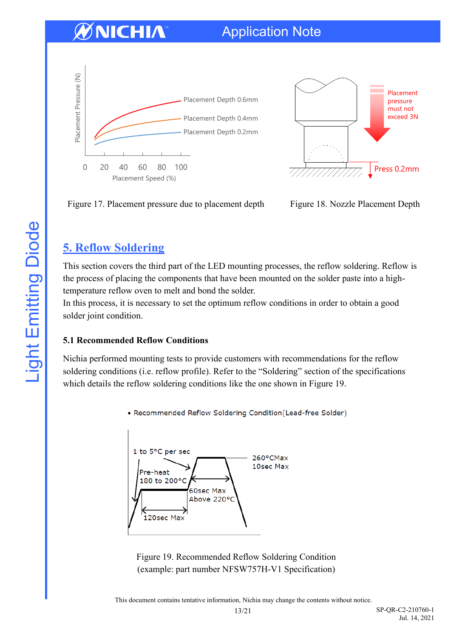



Figure 17. Placement pressure due to placement depth Figure 18. Nozzle Placement Depth

### <span id="page-12-0"></span>**5. Reflow Soldering**

This section covers the third part of the LED mounting processes, the reflow soldering. Reflow is the process of placing the components that have been mounted on the solder paste into a hightemperature reflow oven to melt and bond the solder.

In this process, it is necessary to set the optimum reflow conditions in order to obtain a good solder joint condition.

#### **5.1 Recommended Reflow Conditions**

Nichia performed mounting tests to provide customers with recommendations for the reflow soldering conditions (i.e. reflow profile). Refer to the "Soldering" section of the specifications which details the reflow soldering conditions like the one shown in Figure 19.

• Recommended Reflow Soldering Condition(Lead-free Solder)



Figure 19. Recommended Reflow Soldering Condition (example: part number NFSW757H-V1 Specification)

This document contains tentative information, Nichia may change the contents without notice.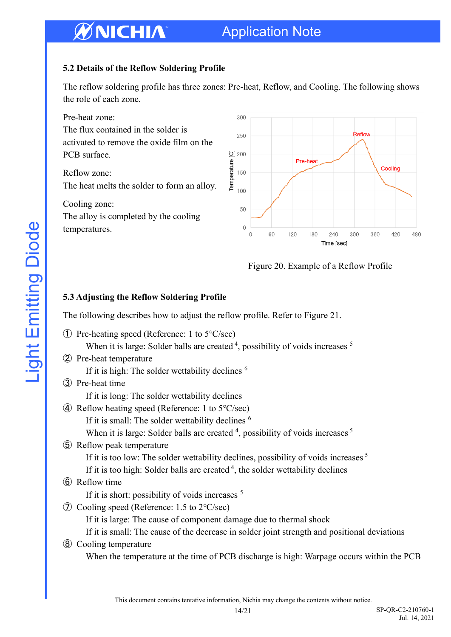### Application Note

#### **5.2 Details of the Reflow Soldering Profile**

The reflow soldering profile has three zones: Pre-heat, Reflow, and Cooling. The following shows the role of each zone.



Figure 20. Example of a Reflow Profile

#### **5.3 Adjusting the Reflow Soldering Profile**

The following describes how to adjust the reflow profile. Refer to Figure 21.

|     | $\Phi$ Pre-heating speed (Reference: 1 to 5 $\degree$ C/sec)                                          |
|-----|-------------------------------------------------------------------------------------------------------|
|     | When it is large: Solder balls are created $4$ , possibility of voids increases $5$                   |
|     | 2 Pre-heat temperature                                                                                |
|     | If it is high: The solder wettability declines <sup>6</sup>                                           |
|     | (3) Pre-heat time                                                                                     |
|     | If it is long: The solder wettability declines                                                        |
|     | 4) Reflow heating speed (Reference: 1 to $5^{\circ}$ C/sec)                                           |
|     | If it is small: The solder wettability declines <sup>6</sup>                                          |
|     | When it is large: Solder balls are created <sup>4</sup> , possibility of voids increases <sup>5</sup> |
|     | 5 Reflow peak temperature                                                                             |
|     | If it is too low: The solder wettability declines, possibility of voids increases <sup>5</sup>        |
|     | If it is too high: Solder balls are created $4$ , the solder wettability declines                     |
|     | 6 Reflow time                                                                                         |
|     | If it is short: possibility of voids increases <sup>5</sup>                                           |
| (7) | Cooling speed (Reference: $1.5$ to $2^{\circ}$ C/sec)                                                 |
|     | If it is large: The cause of component damage due to thermal shock                                    |
|     | If it is small: The cause of the decrease in solder joint strength and positional deviations          |
| (8) | Cooling temperature                                                                                   |

When the temperature at the time of PCB discharge is high: Warpage occurs within the PCB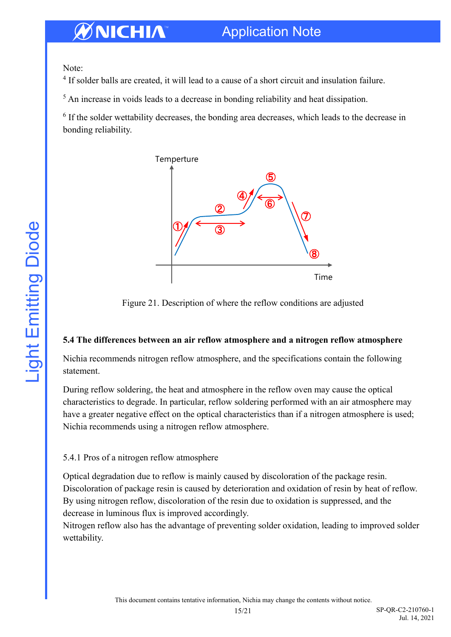Note:

<sup>4</sup> If solder balls are created, it will lead to a cause of a short circuit and insulation failure.

<sup>5</sup> An increase in voids leads to a decrease in bonding reliability and heat dissipation.

<sup>6</sup> If the solder wettability decreases, the bonding area decreases, which leads to the decrease in bonding reliability.



Figure 21. Description of where the reflow conditions are adjusted

#### **5.4 The differences between an air reflow atmosphere and a nitrogen reflow atmosphere**

Nichia recommends nitrogen reflow atmosphere, and the specifications contain the following statement.

During reflow soldering, the heat and atmosphere in the reflow oven may cause the optical characteristics to degrade. In particular, reflow soldering performed with an air atmosphere may have a greater negative effect on the optical characteristics than if a nitrogen atmosphere is used; Nichia recommends using a nitrogen reflow atmosphere.

#### 5.4.1 Pros of a nitrogen reflow atmosphere

Optical degradation due to reflow is mainly caused by discoloration of the package resin. Discoloration of package resin is caused by deterioration and oxidation of resin by heat of reflow. By using nitrogen reflow, discoloration of the resin due to oxidation is suppressed, and the decrease in luminous flux is improved accordingly.

Nitrogen reflow also has the advantage of preventing solder oxidation, leading to improved solder wettability.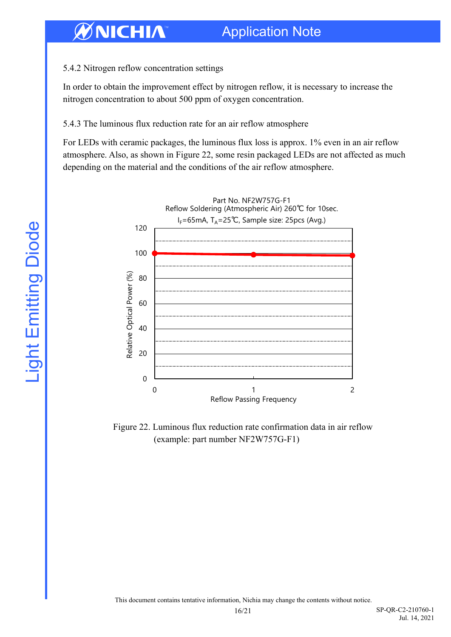#### 5.4.2 Nitrogen reflow concentration settings

In order to obtain the improvement effect by nitrogen reflow, it is necessary to increase the nitrogen concentration to about 500 ppm of oxygen concentration.

#### 5.4.3 The luminous flux reduction rate for an air reflow atmosphere

For LEDs with ceramic packages, the luminous flux loss is approx. 1% even in an air reflow atmosphere. Also, as shown in Figure 22, some resin packaged LEDs are not affected as much depending on the material and the conditions of the air reflow atmosphere.



Figure 22. Luminous flux reduction rate confirmation data in air reflow (example: part number NF2W757G-F1)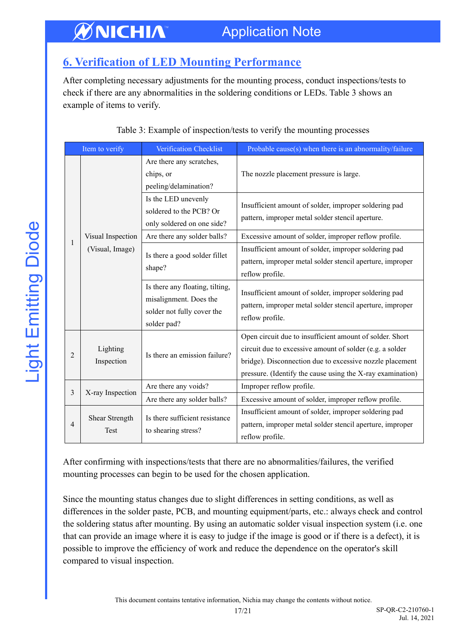### <span id="page-16-0"></span>**6. Verification of LED Mounting Performance**

After completing necessary adjustments for the mounting process, conduct inspections/tests to check if there are any abnormalities in the soldering conditions or LEDs. Table 3 shows an example of items to verify.

| Item to verify |                                      | Verification Checklist                                                                                 | Probable cause(s) when there is an abnormality/failure                                                                                                                                                                                         |
|----------------|--------------------------------------|--------------------------------------------------------------------------------------------------------|------------------------------------------------------------------------------------------------------------------------------------------------------------------------------------------------------------------------------------------------|
|                | Visual Inspection<br>(Visual, Image) | Are there any scratches,<br>chips, or<br>peeling/delamination?                                         | The nozzle placement pressure is large.                                                                                                                                                                                                        |
|                |                                      | Is the LED unevenly<br>soldered to the PCB? Or<br>only soldered on one side?                           | Insufficient amount of solder, improper soldering pad<br>pattern, improper metal solder stencil aperture.                                                                                                                                      |
|                |                                      | Are there any solder balls?                                                                            | Excessive amount of solder, improper reflow profile.                                                                                                                                                                                           |
| 1              |                                      | Is there a good solder fillet<br>shape?                                                                | Insufficient amount of solder, improper soldering pad<br>pattern, improper metal solder stencil aperture, improper<br>reflow profile.                                                                                                          |
|                |                                      | Is there any floating, tilting,<br>misalignment. Does the<br>solder not fully cover the<br>solder pad? | Insufficient amount of solder, improper soldering pad<br>pattern, improper metal solder stencil aperture, improper<br>reflow profile.                                                                                                          |
| 2              | Lighting<br>Inspection               | Is there an emission failure?                                                                          | Open circuit due to insufficient amount of solder. Short<br>circuit due to excessive amount of solder (e.g. a solder<br>bridge). Disconnection due to excessive nozzle placement<br>pressure. (Identify the cause using the X-ray examination) |
| 3              | X-ray Inspection                     | Are there any voids?                                                                                   | Improper reflow profile.                                                                                                                                                                                                                       |
|                |                                      | Are there any solder balls?                                                                            | Excessive amount of solder, improper reflow profile.                                                                                                                                                                                           |
| $\overline{4}$ | Shear Strength<br>Test               | Is there sufficient resistance<br>to shearing stress?                                                  | Insufficient amount of solder, improper soldering pad<br>pattern, improper metal solder stencil aperture, improper<br>reflow profile.                                                                                                          |

#### Table 3: Example of inspection/tests to verify the mounting processes

After confirming with inspections/tests that there are no abnormalities/failures, the verified mounting processes can begin to be used for the chosen application.

Since the mounting status changes due to slight differences in setting conditions, as well as differences in the solder paste, PCB, and mounting equipment/parts, etc.: always check and control the soldering status after mounting. By using an automatic solder visual inspection system (i.e. one that can provide an image where it is easy to judge if the image is good or if there is a defect), it is possible to improve the efficiency of work and reduce the dependence on the operator's skill compared to visual inspection.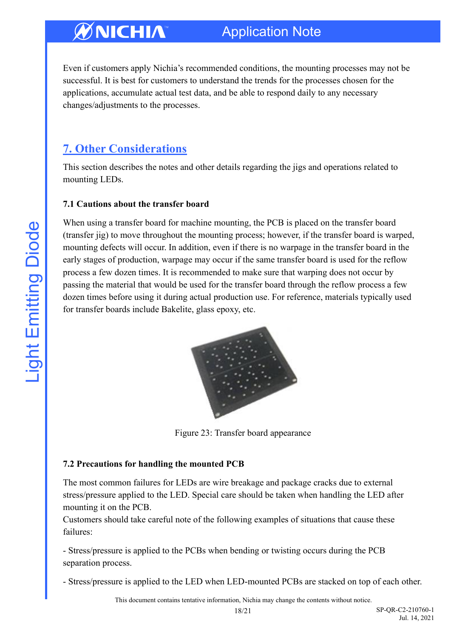Even if customers apply Nichia's recommended conditions, the mounting processes may not be successful. It is best for customers to understand the trends for the processes chosen for the applications, accumulate actual test data, and be able to respond daily to any necessary changes/adjustments to the processes.

### <span id="page-17-0"></span>**7. Other Considerations**

This section describes the notes and other details regarding the jigs and operations related to mounting LEDs.

#### **7.1 Cautions about the transfer board**

When using a transfer board for machine mounting, the PCB is placed on the transfer board (transfer jig) to move throughout the mounting process; however, if the transfer board is warped, mounting defects will occur. In addition, even if there is no warpage in the transfer board in the early stages of production, warpage may occur if the same transfer board is used for the reflow process a few dozen times. It is recommended to make sure that warping does not occur by passing the material that would be used for the transfer board through the reflow process a few dozen times before using it during actual production use. For reference, materials typically used for transfer boards include Bakelite, glass epoxy, etc.



Figure 23: Transfer board appearance

#### **7.2 Precautions for handling the mounted PCB**

The most common failures for LEDs are wire breakage and package cracks due to external stress/pressure applied to the LED. Special care should be taken when handling the LED after mounting it on the PCB.

Customers should take careful note of the following examples of situations that cause these failures:

- Stress/pressure is applied to the PCBs when bending or twisting occurs during the PCB separation process.

- Stress/pressure is applied to the LED when LED-mounted PCBs are stacked on top of each other.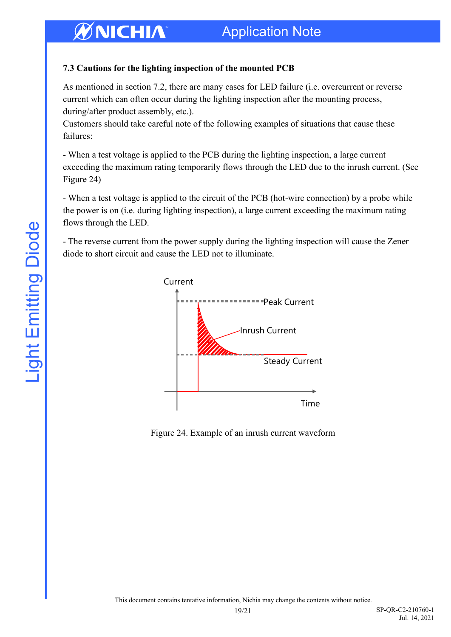#### **7.3 Cautions for the lighting inspection of the mounted PCB**

As mentioned in section 7.2, there are many cases for LED failure (i.e. overcurrent or reverse current which can often occur during the lighting inspection after the mounting process, during/after product assembly, etc.).

Customers should take careful note of the following examples of situations that cause these failures:

- When a test voltage is applied to the PCB during the lighting inspection, a large current exceeding the maximum rating temporarily flows through the LED due to the inrush current. (See Figure 24)

- When a test voltage is applied to the circuit of the PCB (hot-wire connection) by a probe while the power is on (i.e. during lighting inspection), a large current exceeding the maximum rating flows through the LED.

- The reverse current from the power supply during the lighting inspection will cause the Zener diode to short circuit and cause the LED not to illuminate.



Figure 24. Example of an inrush current waveform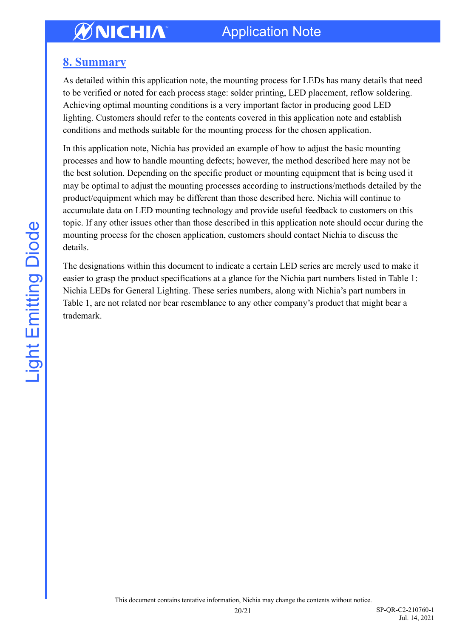### <span id="page-19-0"></span>**8. Summary**

As detailed within this application note, the mounting process for LEDs has many details that need to be verified or noted for each process stage: solder printing, LED placement, reflow soldering. Achieving optimal mounting conditions is a very important factor in producing good LED lighting. Customers should refer to the contents covered in this application note and establish conditions and methods suitable for the mounting process for the chosen application.

In this application note, Nichia has provided an example of how to adjust the basic mounting processes and how to handle mounting defects; however, the method described here may not be the best solution. Depending on the specific product or mounting equipment that is being used it may be optimal to adjust the mounting processes according to instructions/methods detailed by the product/equipment which may be different than those described here. Nichia will continue to accumulate data on LED mounting technology and provide useful feedback to customers on this topic. If any other issues other than those described in this application note should occur during the mounting process for the chosen application, customers should contact Nichia to discuss the details.

The designations within this document to indicate a certain LED series are merely used to make it easier to grasp the product specifications at a glance for the Nichia part numbers listed in Table 1: Nichia LEDs for General Lighting. These series numbers, along with Nichia's part numbers in Table 1, are not related nor bear resemblance to any other company's product that might bear a trademark.